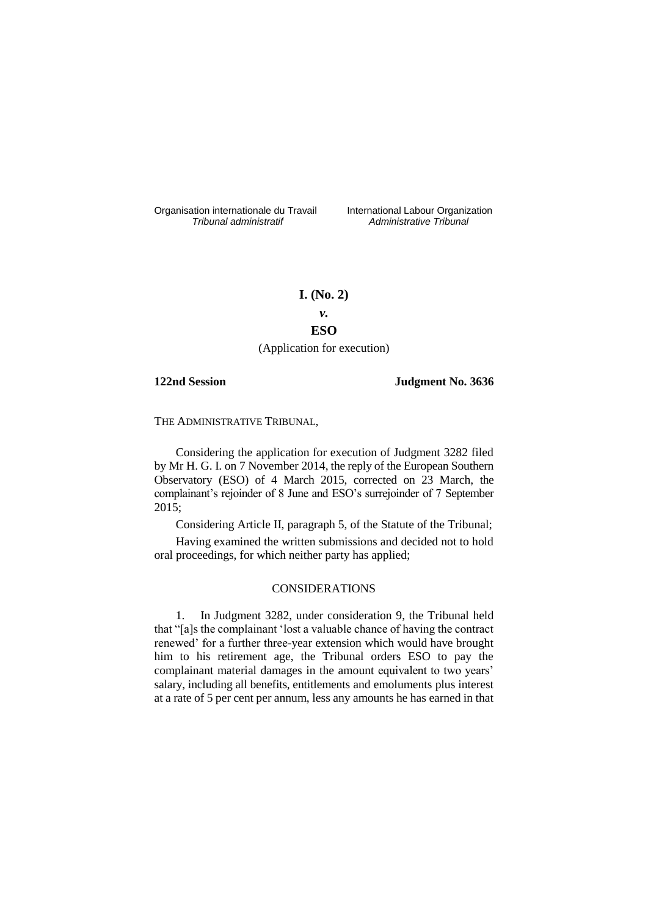Organisation internationale du Travail liternational Labour Organization<br> *Tribunal administratif Administrative Tribunal* 

*Tribunal administratif Administrative Tribunal*

# **I. (No. 2)**

*v.*

## **ESO**

(Application for execution)

**122nd Session Judgment No. 3636**

THE ADMINISTRATIVE TRIBUNAL,

Considering the application for execution of Judgment 3282 filed by Mr H. G. I. on 7 November 2014, the reply of the European Southern Observatory (ESO) of 4 March 2015, corrected on 23 March, the complainant's rejoinder of 8 June and ESO's surrejoinder of 7 September 2015;

Considering Article II, paragraph 5, of the Statute of the Tribunal;

Having examined the written submissions and decided not to hold oral proceedings, for which neither party has applied;

## CONSIDERATIONS

1. In Judgment 3282, under consideration 9, the Tribunal held that "[a]s the complainant 'lost a valuable chance of having the contract renewed' for a further three-year extension which would have brought him to his retirement age, the Tribunal orders ESO to pay the complainant material damages in the amount equivalent to two years' salary, including all benefits, entitlements and emoluments plus interest at a rate of 5 per cent per annum, less any amounts he has earned in that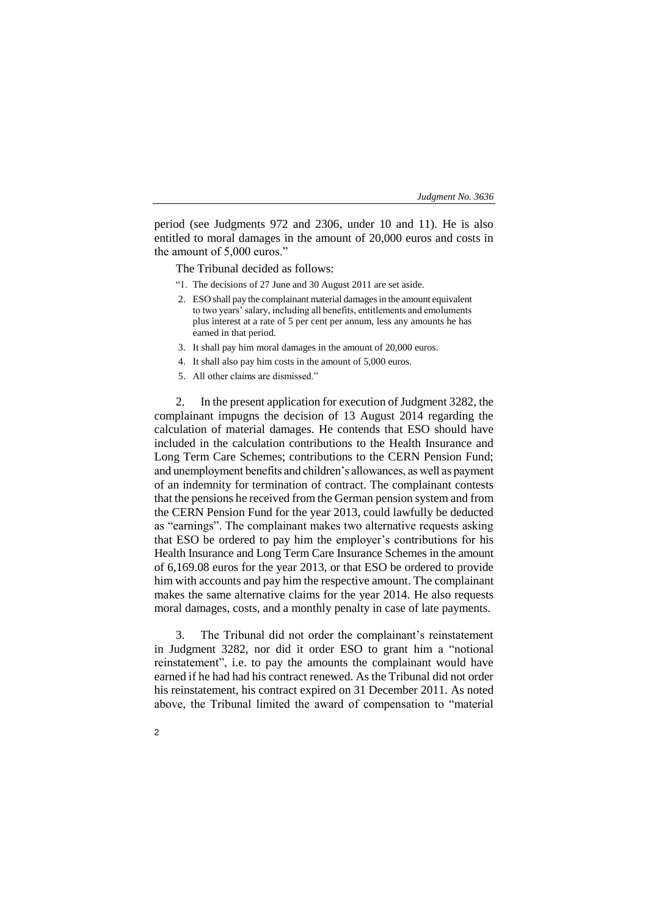period (see Judgments 972 and 2306, under 10 and 11). He is also entitled to moral damages in the amount of 20,000 euros and costs in the amount of 5,000 euros."

The Tribunal decided as follows:

- "1. The decisions of 27 June and 30 August 2011 are set aside.
- 2. ESO shall pay the complainant material damages in the amount equivalent to two years' salary, including all benefits, entitlements and emoluments plus interest at a rate of 5 per cent per annum, less any amounts he has earned in that period.
- 3. It shall pay him moral damages in the amount of 20,000 euros.
- 4. It shall also pay him costs in the amount of 5,000 euros.
- 5. All other claims are dismissed."

2. In the present application for execution of Judgment 3282, the complainant impugns the decision of 13 August 2014 regarding the calculation of material damages. He contends that ESO should have included in the calculation contributions to the Health Insurance and Long Term Care Schemes; contributions to the CERN Pension Fund; and unemployment benefits and children's allowances, as well as payment of an indemnity for termination of contract. The complainant contests that the pensions he received from the German pension system and from the CERN Pension Fund for the year 2013, could lawfully be deducted as "earnings". The complainant makes two alternative requests asking that ESO be ordered to pay him the employer's contributions for his Health Insurance and Long Term Care Insurance Schemes in the amount of 6,169.08 euros for the year 2013, or that ESO be ordered to provide him with accounts and pay him the respective amount. The complainant makes the same alternative claims for the year 2014. He also requests moral damages, costs, and a monthly penalty in case of late payments.

3. The Tribunal did not order the complainant's reinstatement in Judgment 3282, nor did it order ESO to grant him a "notional reinstatement", i.e. to pay the amounts the complainant would have earned if he had had his contract renewed. As the Tribunal did not order his reinstatement, his contract expired on 31 December 2011. As noted above, the Tribunal limited the award of compensation to "material

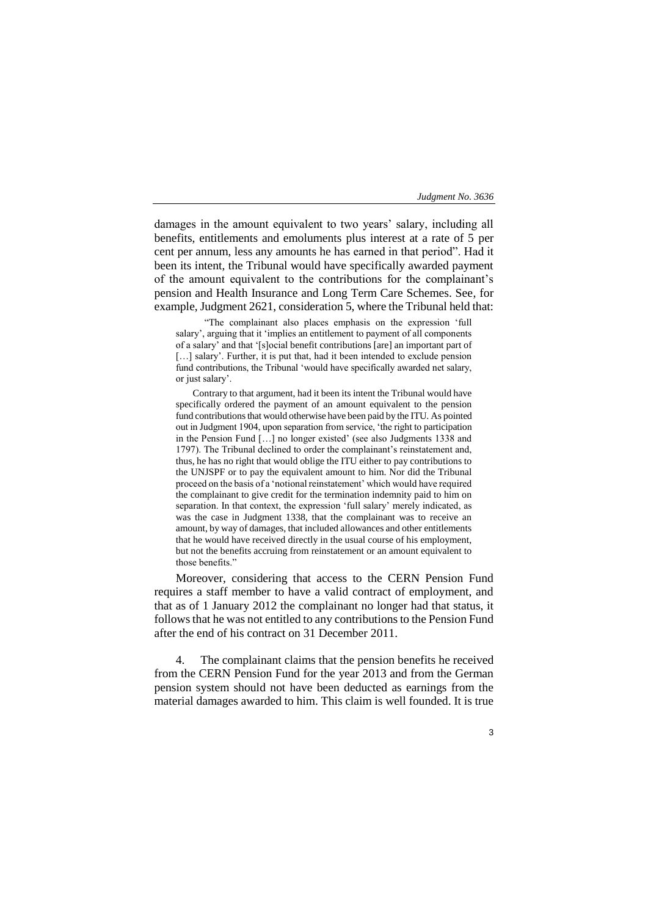damages in the amount equivalent to two years' salary, including all benefits, entitlements and emoluments plus interest at a rate of 5 per cent per annum, less any amounts he has earned in that period". Had it been its intent, the Tribunal would have specifically awarded payment of the amount equivalent to the contributions for the complainant's pension and Health Insurance and Long Term Care Schemes. See, for example, Judgment 2621, consideration 5, where the Tribunal held that:

"The complainant also places emphasis on the expression 'full salary', arguing that it 'implies an entitlement to payment of all components of a salary' and that '[s]ocial benefit contributions [are] an important part of [...] salary'. Further, it is put that, had it been intended to exclude pension fund contributions, the Tribunal 'would have specifically awarded net salary, or just salary'.

Contrary to that argument, had it been its intent the Tribunal would have specifically ordered the payment of an amount equivalent to the pension fund contributions that would otherwise have been paid by the ITU. As pointed out in Judgment 1904, upon separation from service, 'the right to participation in the Pension Fund […] no longer existed' (see also Judgments 1338 and 1797). The Tribunal declined to order the complainant's reinstatement and, thus, he has no right that would oblige the ITU either to pay contributions to the UNJSPF or to pay the equivalent amount to him. Nor did the Tribunal proceed on the basis of a 'notional reinstatement' which would have required the complainant to give credit for the termination indemnity paid to him on separation. In that context, the expression 'full salary' merely indicated, as was the case in Judgment 1338, that the complainant was to receive an amount, by way of damages, that included allowances and other entitlements that he would have received directly in the usual course of his employment, but not the benefits accruing from reinstatement or an amount equivalent to those benefits."

Moreover, considering that access to the CERN Pension Fund requires a staff member to have a valid contract of employment, and that as of 1 January 2012 the complainant no longer had that status, it follows that he was not entitled to any contributions to the Pension Fund after the end of his contract on 31 December 2011.

4. The complainant claims that the pension benefits he received from the CERN Pension Fund for the year 2013 and from the German pension system should not have been deducted as earnings from the material damages awarded to him. This claim is well founded. It is true

3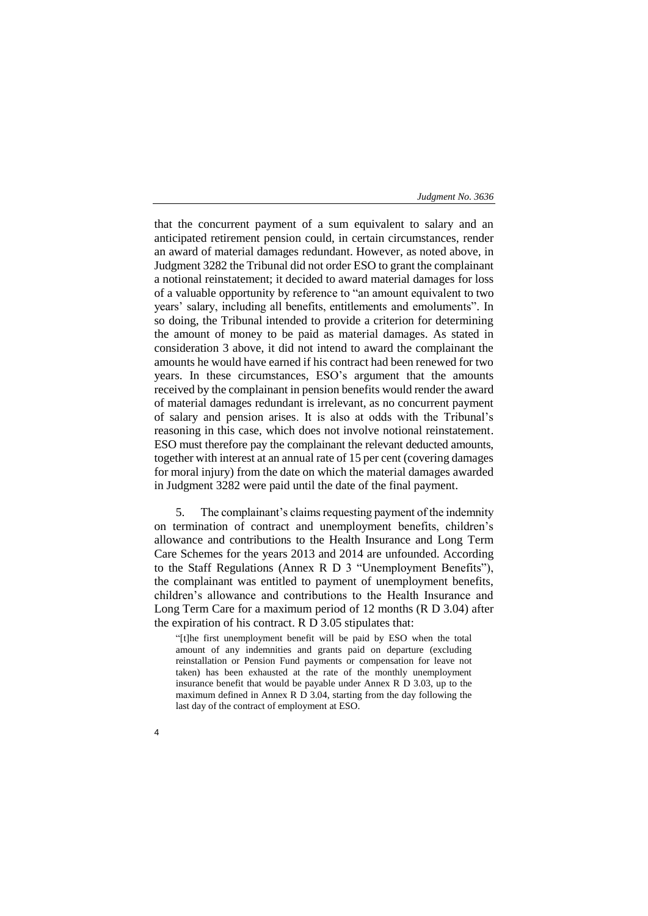that the concurrent payment of a sum equivalent to salary and an anticipated retirement pension could, in certain circumstances, render an award of material damages redundant. However, as noted above, in Judgment 3282 the Tribunal did not order ESO to grant the complainant a notional reinstatement; it decided to award material damages for loss of a valuable opportunity by reference to "an amount equivalent to two years' salary, including all benefits, entitlements and emoluments". In so doing, the Tribunal intended to provide a criterion for determining the amount of money to be paid as material damages. As stated in consideration 3 above, it did not intend to award the complainant the amounts he would have earned if his contract had been renewed for two years. In these circumstances, ESO's argument that the amounts received by the complainant in pension benefits would render the award of material damages redundant is irrelevant, as no concurrent payment of salary and pension arises. It is also at odds with the Tribunal's reasoning in this case, which does not involve notional reinstatement. ESO must therefore pay the complainant the relevant deducted amounts, together with interest at an annual rate of 15 per cent (covering damages for moral injury) from the date on which the material damages awarded in Judgment 3282 were paid until the date of the final payment.

5. The complainant's claims requesting payment of the indemnity on termination of contract and unemployment benefits, children's allowance and contributions to the Health Insurance and Long Term Care Schemes for the years 2013 and 2014 are unfounded. According to the Staff Regulations (Annex R D 3 "Unemployment Benefits"), the complainant was entitled to payment of unemployment benefits, children's allowance and contributions to the Health Insurance and Long Term Care for a maximum period of 12 months (R D 3.04) after the expiration of his contract. R D 3.05 stipulates that:

"[t]he first unemployment benefit will be paid by ESO when the total amount of any indemnities and grants paid on departure (excluding reinstallation or Pension Fund payments or compensation for leave not taken) has been exhausted at the rate of the monthly unemployment insurance benefit that would be payable under Annex R D 3.03, up to the maximum defined in Annex R D 3.04, starting from the day following the last day of the contract of employment at ESO.

4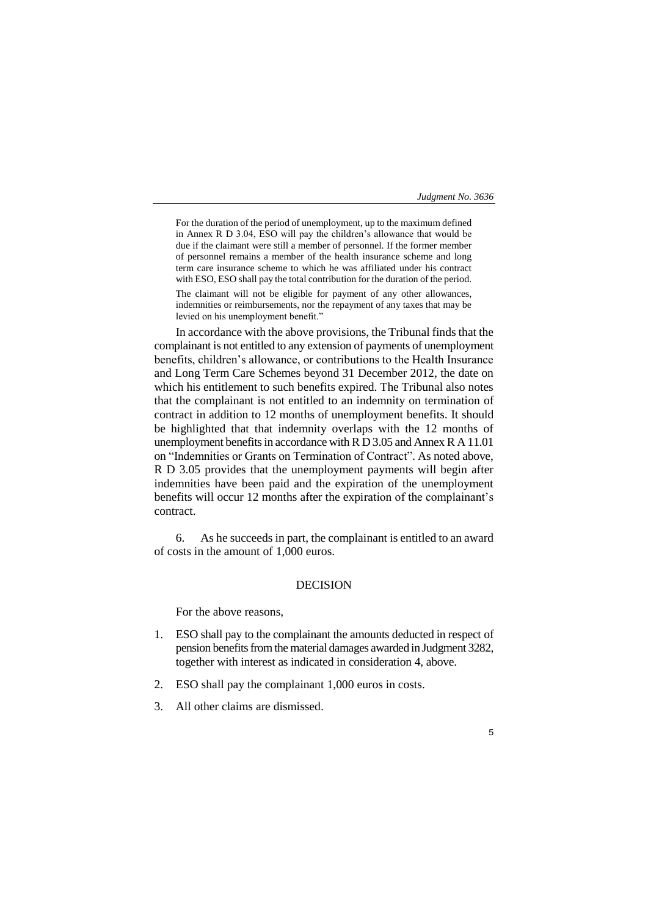5

For the duration of the period of unemployment, up to the maximum defined in Annex R D 3.04, ESO will pay the children's allowance that would be due if the claimant were still a member of personnel. If the former member of personnel remains a member of the health insurance scheme and long term care insurance scheme to which he was affiliated under his contract with ESO, ESO shall pay the total contribution for the duration of the period.

The claimant will not be eligible for payment of any other allowances, indemnities or reimbursements, nor the repayment of any taxes that may be levied on his unemployment benefit."

In accordance with the above provisions, the Tribunal finds that the complainant is not entitled to any extension of payments of unemployment benefits, children's allowance, or contributions to the Health Insurance and Long Term Care Schemes beyond 31 December 2012, the date on which his entitlement to such benefits expired. The Tribunal also notes that the complainant is not entitled to an indemnity on termination of contract in addition to 12 months of unemployment benefits. It should be highlighted that that indemnity overlaps with the 12 months of unemployment benefits in accordance with R D 3.05 and Annex R A 11.01 on "Indemnities or Grants on Termination of Contract". As noted above, R D 3.05 provides that the unemployment payments will begin after indemnities have been paid and the expiration of the unemployment benefits will occur 12 months after the expiration of the complainant's contract.

6. As he succeeds in part, the complainant is entitled to an award of costs in the amount of 1,000 euros.

## DECISION

For the above reasons,

- 1. ESO shall pay to the complainant the amounts deducted in respect of pension benefits from the material damages awarded in Judgment 3282, together with interest as indicated in consideration 4, above.
- 2. ESO shall pay the complainant 1,000 euros in costs.
- 3. All other claims are dismissed.